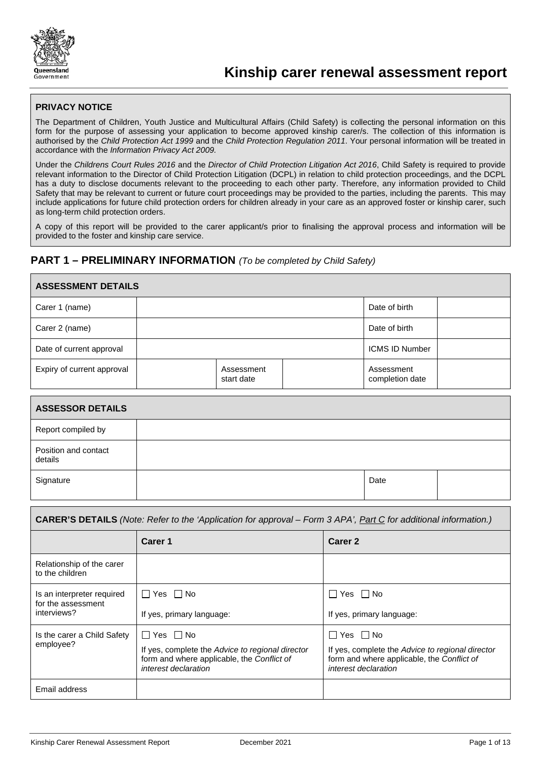

## **PRIVACY NOTICE**

The Department of Children, Youth Justice and Multicultural Affairs (Child Safety) is collecting the personal information on this form for the purpose of assessing your application to become approved kinship carer/s. The collection of this information is authorised by the *Child Protection Act 1999* and the *Child Protection Regulation 2011*. Your personal information will be treated in accordance with the *Information Privacy Act 2009.*

Under the *Childrens Court Rules 2016* and the *Director of Child Protection Litigation Act 2016*, Child Safety is required to provide relevant information to the Director of Child Protection Litigation (DCPL) in relation to child protection proceedings, and the DCPL has a duty to disclose documents relevant to the proceeding to each other party. Therefore, any information provided to Child Safety that may be relevant to current or future court proceedings may be provided to the parties, including the parents. This may include applications for future child protection orders for children already in your care as an approved foster or kinship carer, such as long-term child protection orders.

A copy of this report will be provided to the carer applicant/s prior to finalising the approval process and information will be provided to the foster and kinship care service.

## **PART 1 – PRELIMINARY INFORMATION** *(To be completed by Child Safety)*

| <b>ASSESSMENT DETAILS</b>                                                                                               |                           |                          |                      |                |                               |  |
|-------------------------------------------------------------------------------------------------------------------------|---------------------------|--------------------------|----------------------|----------------|-------------------------------|--|
| Carer 1 (name)                                                                                                          |                           |                          |                      |                | Date of birth                 |  |
| Carer 2 (name)                                                                                                          |                           |                          |                      |                | Date of birth                 |  |
| Date of current approval                                                                                                |                           |                          |                      |                | <b>ICMS ID Number</b>         |  |
| Expiry of current approval                                                                                              |                           | Assessment<br>start date |                      |                | Assessment<br>completion date |  |
| <b>ASSESSOR DETAILS</b>                                                                                                 |                           |                          |                      |                |                               |  |
| Report compiled by                                                                                                      |                           |                          |                      |                |                               |  |
| Position and contact<br>details                                                                                         |                           |                          |                      |                |                               |  |
| Signature                                                                                                               |                           |                          |                      |                | Date                          |  |
| <b>CARER'S DETAILS</b> (Note: Refer to the 'Application for approval – Form 3 APA', Part C for additional information.) |                           |                          |                      |                |                               |  |
|                                                                                                                         | Carer 1                   |                          |                      | <b>Carer 2</b> |                               |  |
| Relationship of the carer<br>to the children                                                                            |                           |                          |                      |                |                               |  |
| Is an interpreter required<br>for the assessment                                                                        | $\Box$ Yes $\Box$ No      |                          | $\Box$ Yes $\Box$ No |                |                               |  |
| interviews?                                                                                                             | If yes, primary language: |                          |                      |                | If yes, primary language:     |  |
| Is the carer a Child Safety                                                                                             | Yes $\Box$ No<br>П        |                          |                      | コ Yes ロ No     |                               |  |

| lovee?      | If yes, complete the Advice to regional director<br>form and where applicable, the Conflict of<br><i>interest declaration</i> | If yes, complete the Advice to regional director<br>form and where applicable, the Conflict of<br><i>interest declaration</i> |
|-------------|-------------------------------------------------------------------------------------------------------------------------------|-------------------------------------------------------------------------------------------------------------------------------|
| il address. |                                                                                                                               |                                                                                                                               |

emp

Ema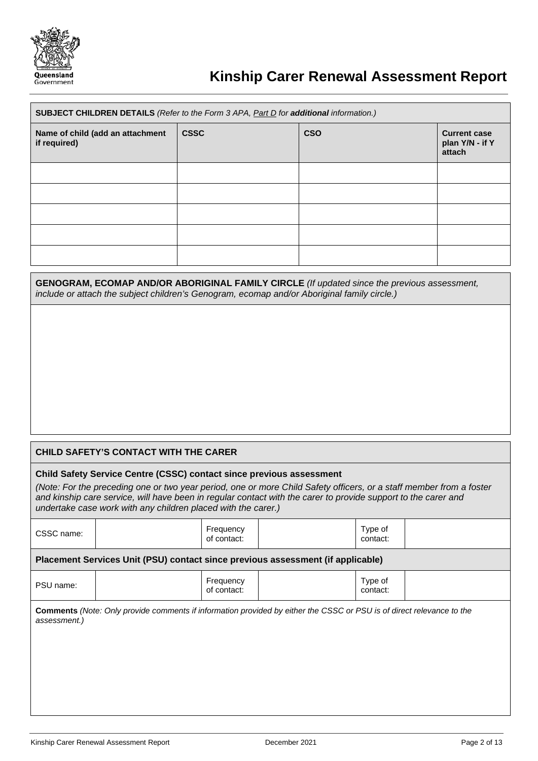

# **Kinship Carer Renewal Assessment Report**

| SUBJECT CHILDREN DETAILS (Refer to the Form 3 APA, Part D for additional information.) |             |            |                                                  |
|----------------------------------------------------------------------------------------|-------------|------------|--------------------------------------------------|
| Name of child (add an attachment<br>if required)                                       | <b>CSSC</b> | <b>CSO</b> | <b>Current case</b><br>plan Y/N - if Y<br>attach |
|                                                                                        |             |            |                                                  |
|                                                                                        |             |            |                                                  |
|                                                                                        |             |            |                                                  |
|                                                                                        |             |            |                                                  |
|                                                                                        |             |            |                                                  |

| <b>GENOGRAM, ECOMAP AND/OR ABORIGINAL FAMILY CIRCLE</b> (If updated since the previous assessment, |
|----------------------------------------------------------------------------------------------------|
| include or attach the subject children's Genogram, ecomap and/or Aboriginal family circle.)        |

## **CHILD SAFETY'S CONTACT WITH THE CARER**

## **Child Safety Service Centre (CSSC) contact since previous assessment**

*(Note: For the preceding one or two year period, one or more Child Safety officers, or a staff member from a foster and kinship care service, will have been in regular contact with the carer to provide support to the carer and undertake case work with any children placed with the carer.)*

| CSSC name:   |                                                                                                                              | Frequency<br>of contact: | Type of<br>contact: |  |
|--------------|------------------------------------------------------------------------------------------------------------------------------|--------------------------|---------------------|--|
|              | Placement Services Unit (PSU) contact since previous assessment (if applicable)                                              |                          |                     |  |
| PSU name:    |                                                                                                                              | Frequency<br>of contact: | Type of<br>contact: |  |
| assessment.) | <b>Comments</b> (Note: Only provide comments if information provided by either the CSSC or PSU is of direct relevance to the |                          |                     |  |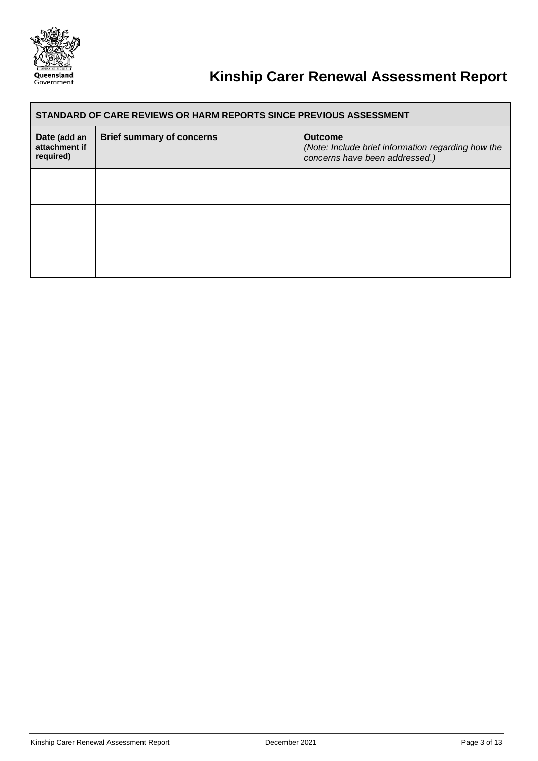

# **Kinship Carer Renewal Assessment Report**

| STANDARD OF CARE REVIEWS OR HARM REPORTS SINCE PREVIOUS ASSESSMENT |                                  |                                                                                                        |  |
|--------------------------------------------------------------------|----------------------------------|--------------------------------------------------------------------------------------------------------|--|
| Date (add an<br>attachment if<br>required)                         | <b>Brief summary of concerns</b> | <b>Outcome</b><br>(Note: Include brief information regarding how the<br>concerns have been addressed.) |  |
|                                                                    |                                  |                                                                                                        |  |
|                                                                    |                                  |                                                                                                        |  |
|                                                                    |                                  |                                                                                                        |  |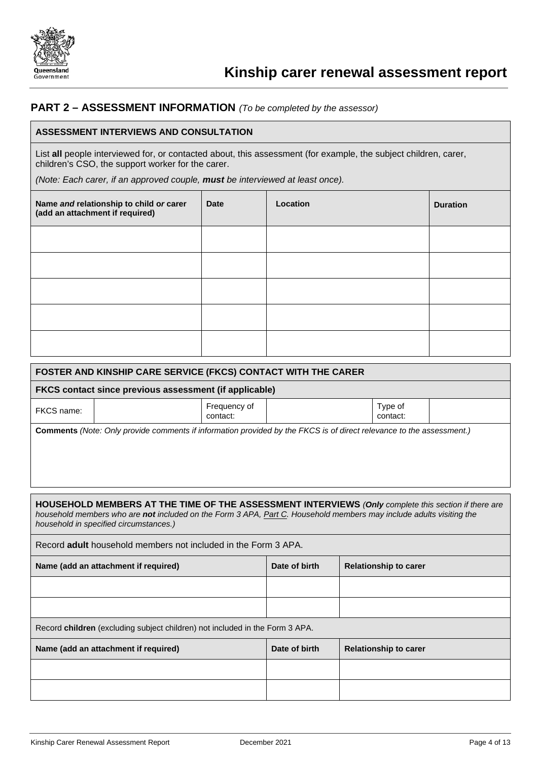

## **PART 2 – ASSESSMENT INFORMATION** *(To be completed by the assessor)*

## **ASSESSMENT INTERVIEWS AND CONSULTATION**

List **all** people interviewed for, or contacted about, this assessment (for example, the subject children, carer, children's CSO, the support worker for the carer.

*(Note: Each carer, if an approved couple, must be interviewed at least once).*

| Name and relationship to child or carer<br>(add an attachment if required) | <b>Date</b> | Location | <b>Duration</b> |
|----------------------------------------------------------------------------|-------------|----------|-----------------|
|                                                                            |             |          |                 |
|                                                                            |             |          |                 |
|                                                                            |             |          |                 |
|                                                                            |             |          |                 |
|                                                                            |             |          |                 |

| FOSTER AND KINSHIP CARE SERVICE (FKCS) CONTACT WITH THE CARER                                                        |                          |                     |  |
|----------------------------------------------------------------------------------------------------------------------|--------------------------|---------------------|--|
| FKCS contact since previous assessment (if applicable)                                                               |                          |                     |  |
| FKCS name:                                                                                                           | Frequency of<br>contact: | Type of<br>contact: |  |
| Comments (Note: Only provide comments if information provided by the FKCS is of direct relevance to the assessment.) |                          |                     |  |

**HOUSEHOLD MEMBERS AT THE TIME OF THE ASSESSMENT INTERVIEWS** *(Only complete this section if there are household members who are not included on the Form 3 APA, Part C. Household members may include adults visiting the household in specified circumstances.)*

Record **adult** household members not included in the Form 3 APA.

| Name (add an attachment if required)                                         | Date of birth | <b>Relationship to carer</b> |  |
|------------------------------------------------------------------------------|---------------|------------------------------|--|
|                                                                              |               |                              |  |
|                                                                              |               |                              |  |
| Record children (excluding subject children) not included in the Form 3 APA. |               |                              |  |
| Name (add an attachment if required)                                         | Date of birth | <b>Relationship to carer</b> |  |
|                                                                              |               |                              |  |
|                                                                              |               |                              |  |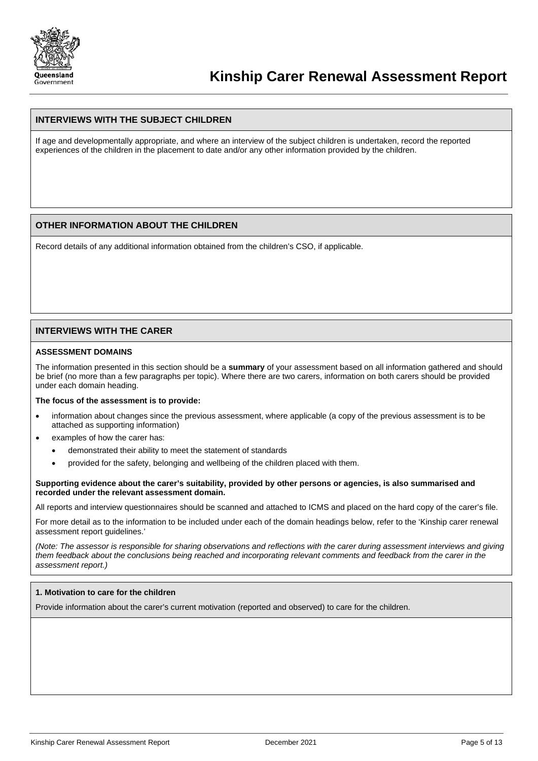

## **INTERVIEWS WITH THE SUBJECT CHILDREN**

If age and developmentally appropriate, and where an interview of the subject children is undertaken, record the reported experiences of the children in the placement to date and/or any other information provided by the children.

## **OTHER INFORMATION ABOUT THE CHILDREN**

Record details of any additional information obtained from the children's CSO, if applicable.

### **INTERVIEWS WITH THE CARER**

#### **ASSESSMENT DOMAINS**

The information presented in this section should be a **summary** of your assessment based on all information gathered and should be brief (no more than a few paragraphs per topic). Where there are two carers, information on both carers should be provided under each domain heading.

#### **The focus of the assessment is to provide:**

- information about changes since the previous assessment, where applicable (a copy of the previous assessment is to be attached as supporting information)
- examples of how the carer has:
	- demonstrated their ability to meet the statement of standards
	- provided for the safety, belonging and wellbeing of the children placed with them.

#### **Supporting evidence about the carer's suitability, provided by other persons or agencies, is also summarised and recorded under the relevant assessment domain.**

All reports and interview questionnaires should be scanned and attached to ICMS and placed on the hard copy of the carer's file.

For more detail as to the information to be included under each of the domain headings below, refer to the 'Kinship carer renewal assessment report guidelines.'

*(Note: The assessor is responsible for sharing observations and reflections with the carer during assessment interviews and giving them feedback about the conclusions being reached and incorporating relevant comments and feedback from the carer in the assessment report.)*

#### **1. Motivation to care for the children**

Provide information about the carer's current motivation (reported and observed) to care for the children.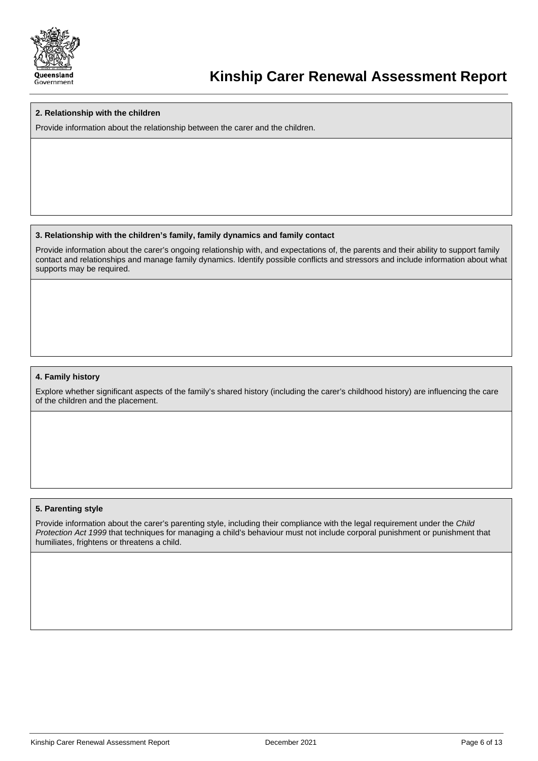

## **2. Relationship with the children**

Provide information about the relationship between the carer and the children.

## **3. Relationship with the children's family, family dynamics and family contact**

Provide information about the carer's ongoing relationship with, and expectations of, the parents and their ability to support family contact and relationships and manage family dynamics. Identify possible conflicts and stressors and include information about what supports may be required.

## **4. Family history**

Explore whether significant aspects of the family's shared history (including the carer's childhood history) are influencing the care of the children and the placement.

## **5. Parenting style**

Provide information about the carer's parenting style, including their compliance with the legal requirement under the *Child Protection Act 1999* that techniques for managing a child's behaviour must not include corporal punishment or punishment that humiliates, frightens or threatens a child.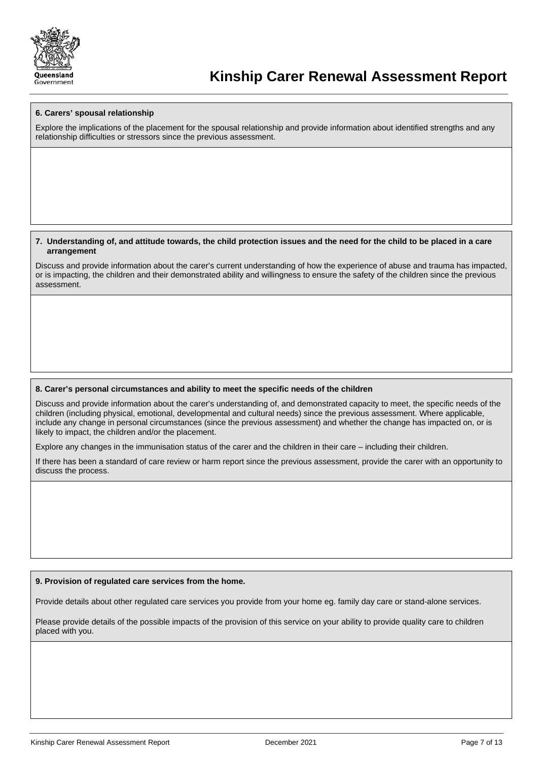

#### **6. Carers' spousal relationship**

Explore the implications of the placement for the spousal relationship and provide information about identified strengths and any relationship difficulties or stressors since the previous assessment.

#### **7. Understanding of, and attitude towards, the child protection issues and the need for the child to be placed in a care arrangement**

Discuss and provide information about the carer's current understanding of how the experience of abuse and trauma has impacted, or is impacting, the children and their demonstrated ability and willingness to ensure the safety of the children since the previous assessment.

#### **8. Carer's personal circumstances and ability to meet the specific needs of the children**

Discuss and provide information about the carer's understanding of, and demonstrated capacity to meet, the specific needs of the children (including physical, emotional, developmental and cultural needs) since the previous assessment. Where applicable, include any change in personal circumstances (since the previous assessment) and whether the change has impacted on, or is likely to impact, the children and/or the placement.

Explore any changes in the immunisation status of the carer and the children in their care – including their children.

If there has been a standard of care review or harm report since the previous assessment, provide the carer with an opportunity to discuss the process.

#### **9. Provision of regulated care services from the home.**

Provide details about other regulated care services you provide from your home eg. family day care or stand-alone services.

Please provide details of the possible impacts of the provision of this service on your ability to provide quality care to children placed with you.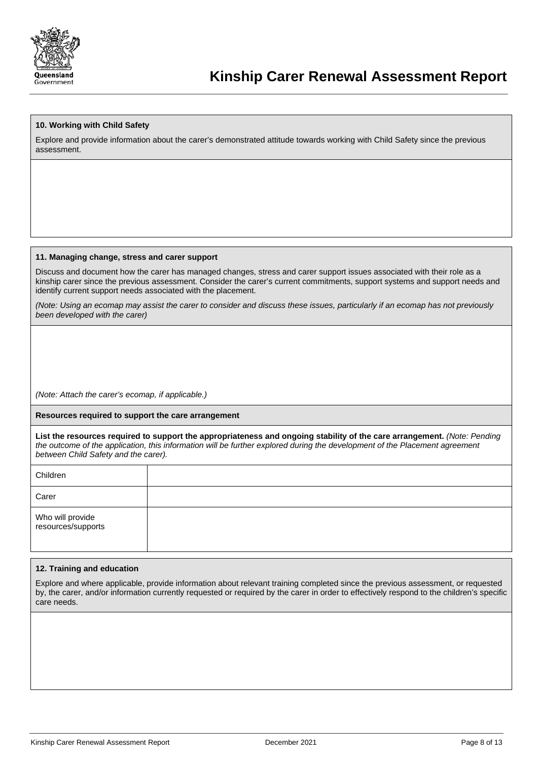

## **10. Working with Child Safety**

Explore and provide information about the carer's demonstrated attitude towards working with Child Safety since the previous assessment.

#### **11. Managing change, stress and carer support**

Discuss and document how the carer has managed changes, stress and carer support issues associated with their role as a kinship carer since the previous assessment. Consider the carer's current commitments, support systems and support needs and identify current support needs associated with the placement.

*(Note: Using an ecomap may assist the carer to consider and discuss these issues, particularly if an ecomap has not previously been developed with the carer)*

*(Note: Attach the carer's ecomap, if applicable.)*

#### **Resources required to support the care arrangement**

**List the resources required to support the appropriateness and ongoing stability of the care arrangement.** *(Note: Pending the outcome of the application, this information will be further explored during the development of the Placement agreement between Child Safety and the carer).* 

| Children                               |  |
|----------------------------------------|--|
| Carer                                  |  |
| Who will provide<br>resources/supports |  |

#### **12. Training and education**

Explore and where applicable, provide information about relevant training completed since the previous assessment, or requested by, the carer, and/or information currently requested or required by the carer in order to effectively respond to the children's specific care needs.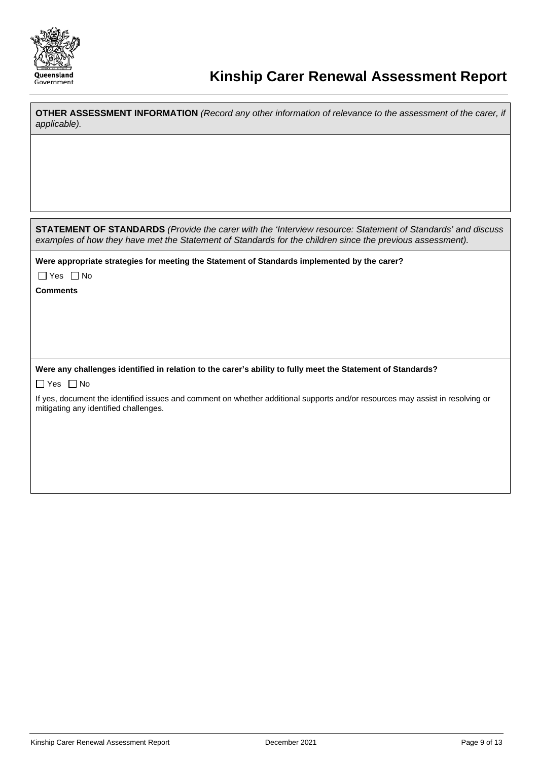

 $\mathbf{r}$ 

| <b>OTHER ASSESSMENT INFORMATION</b> (Record any other information of relevance to the assessment of the carer, if<br>applicable).                                                                                               |
|---------------------------------------------------------------------------------------------------------------------------------------------------------------------------------------------------------------------------------|
|                                                                                                                                                                                                                                 |
|                                                                                                                                                                                                                                 |
|                                                                                                                                                                                                                                 |
|                                                                                                                                                                                                                                 |
| <b>STATEMENT OF STANDARDS</b> (Provide the carer with the 'Interview resource: Statement of Standards' and discuss<br>examples of how they have met the Statement of Standards for the children since the previous assessment). |
| Were appropriate strategies for meeting the Statement of Standards implemented by the carer?                                                                                                                                    |
| $\Box$ Yes $\Box$ No                                                                                                                                                                                                            |
| <b>Comments</b>                                                                                                                                                                                                                 |
|                                                                                                                                                                                                                                 |
|                                                                                                                                                                                                                                 |
|                                                                                                                                                                                                                                 |
|                                                                                                                                                                                                                                 |
| Were any challenges identified in relation to the carer's ability to fully meet the Statement of Standards?                                                                                                                     |
| $\Box$ Yes $\Box$ No                                                                                                                                                                                                            |
| If yes, document the identified issues and comment on whether additional supports and/or resources may assist in resolving or<br>mitigating any identified challenges.                                                          |
|                                                                                                                                                                                                                                 |
|                                                                                                                                                                                                                                 |
|                                                                                                                                                                                                                                 |
|                                                                                                                                                                                                                                 |
|                                                                                                                                                                                                                                 |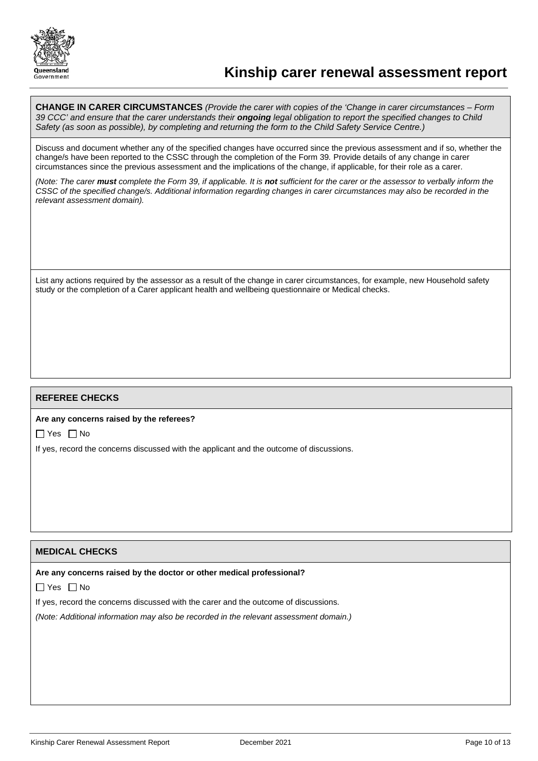

# **Kinship carer renewal assessment report**

**CHANGE IN CARER CIRCUMSTANCES** *(Provide the carer with copies of the 'Change in carer circumstances – Form 39 CCC' and ensure that the carer understands their ongoing legal obligation to report the specified changes to Child Safety (as soon as possible), by completing and returning the form to the Child Safety Service Centre.)* 

Discuss and document whether any of the specified changes have occurred since the previous assessment and if so, whether the change/s have been reported to the CSSC through the completion of the Form 39*.* Provide details of any change in carer circumstances since the previous assessment and the implications of the change, if applicable, for their role as a carer.

*(Note: The carer must complete the Form 39, if applicable. It is not sufficient for the carer or the assessor to verbally inform the CSSC of the specified change/s. Additional information regarding changes in carer circumstances may also be recorded in the relevant assessment domain).*

List any actions required by the assessor as a result of the change in carer circumstances, for example, new Household safety study or the completion of a Carer applicant health and wellbeing questionnaire or Medical checks.

## **REFEREE CHECKS**

#### **Are any concerns raised by the referees?**

 $\Box$  Yes  $\Box$  No

If yes, record the concerns discussed with the applicant and the outcome of discussions.

## **MEDICAL CHECKS**

### **Are any concerns raised by the doctor or other medical professional?**

 $\Box$  Yes  $\Box$  No

If yes, record the concerns discussed with the carer and the outcome of discussions.

*(Note: Additional information may also be recorded in the relevant assessment domain.)*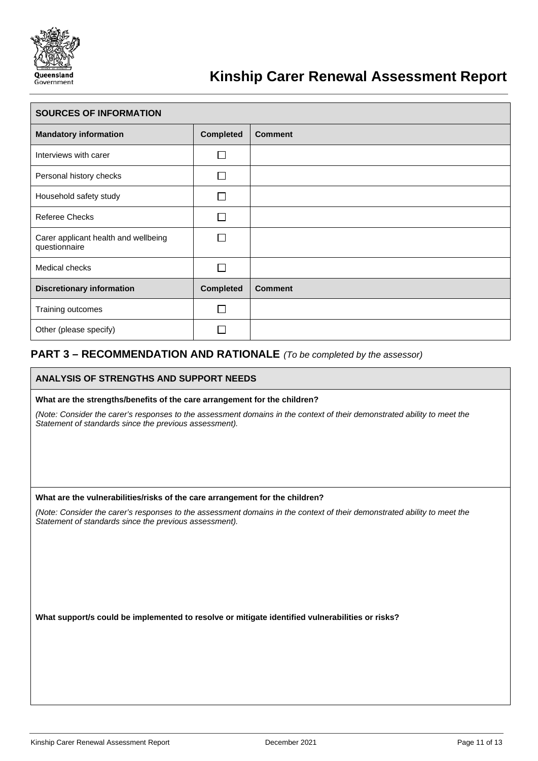

# **Kinship Carer Renewal Assessment Report**

| <b>SOURCES OF INFORMATION</b>                         |                  |                |  |
|-------------------------------------------------------|------------------|----------------|--|
| <b>Mandatory information</b>                          | <b>Completed</b> | <b>Comment</b> |  |
| Interviews with carer                                 |                  |                |  |
| Personal history checks                               |                  |                |  |
| Household safety study                                | $\mathcal{L}$    |                |  |
| <b>Referee Checks</b>                                 |                  |                |  |
| Carer applicant health and wellbeing<br>questionnaire |                  |                |  |
| Medical checks                                        |                  |                |  |
| <b>Discretionary information</b>                      | <b>Completed</b> | <b>Comment</b> |  |
| Training outcomes                                     |                  |                |  |
| Other (please specify)                                |                  |                |  |

## **PART 3 – RECOMMENDATION AND RATIONALE** *(To be completed by the assessor)*

## **ANALYSIS OF STRENGTHS AND SUPPORT NEEDS**

### **What are the strengths/benefits of the care arrangement for the children?**

*(Note: Consider the carer's responses to the assessment domains in the context of their demonstrated ability to meet the Statement of standards since the previous assessment).*

#### **What are the vulnerabilities/risks of the care arrangement for the children?**

*(Note: Consider the carer's responses to the assessment domains in the context of their demonstrated ability to meet the Statement of standards since the previous assessment).*

**What support/s could be implemented to resolve or mitigate identified vulnerabilities or risks?**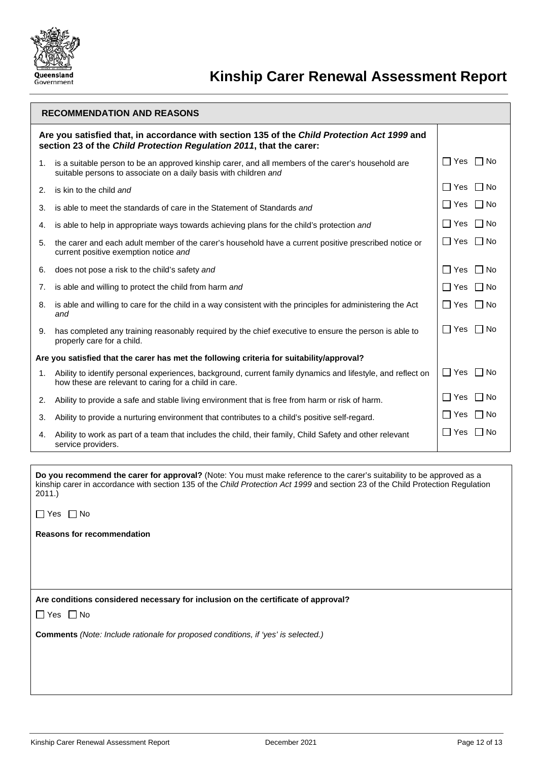

| <b>RECOMMENDATION AND REASONS</b>                                                                                                                                  |                                                                                                                                                                        |                             |  |  |  |
|--------------------------------------------------------------------------------------------------------------------------------------------------------------------|------------------------------------------------------------------------------------------------------------------------------------------------------------------------|-----------------------------|--|--|--|
| Are you satisfied that, in accordance with section 135 of the Child Protection Act 1999 and<br>section 23 of the Child Protection Regulation 2011, that the carer: |                                                                                                                                                                        |                             |  |  |  |
| 1.                                                                                                                                                                 | is a suitable person to be an approved kinship carer, and all members of the carer's household are<br>suitable persons to associate on a daily basis with children and | $\Box$ Yes $\Box$ No        |  |  |  |
| 2.                                                                                                                                                                 | is kin to the child and                                                                                                                                                | l IYes<br>l IN <sub>o</sub> |  |  |  |
| 3.                                                                                                                                                                 | is able to meet the standards of care in the Statement of Standards and                                                                                                | $\Box$ Yes<br>$\Box$ No     |  |  |  |
| 4.                                                                                                                                                                 | is able to help in appropriate ways towards achieving plans for the child's protection and                                                                             | $\Box$ No<br>∏ Yes          |  |  |  |
| 5.                                                                                                                                                                 | the carer and each adult member of the carer's household have a current positive prescribed notice or<br>current positive exemption notice and                         | $\Box$ Yes<br>$\Box$ No     |  |  |  |
| 6.                                                                                                                                                                 | does not pose a risk to the child's safety and                                                                                                                         | $\Box$ Yes<br>$\Box$ No     |  |  |  |
| 7.                                                                                                                                                                 | is able and willing to protect the child from harm and                                                                                                                 | $\Box$ No<br>l IYes         |  |  |  |
| 8.                                                                                                                                                                 | is able and willing to care for the child in a way consistent with the principles for administering the Act<br>and                                                     | Yes   INo                   |  |  |  |
| 9.                                                                                                                                                                 | has completed any training reasonably required by the chief executive to ensure the person is able to<br>properly care for a child.                                    | l IYes<br>  No              |  |  |  |
| Are you satisfied that the carer has met the following criteria for suitability/approval?                                                                          |                                                                                                                                                                        |                             |  |  |  |
| 1.                                                                                                                                                                 | Ability to identify personal experiences, background, current family dynamics and lifestyle, and reflect on<br>how these are relevant to caring for a child in care.   | $\Box$ Yes $\Box$ No        |  |  |  |
| 2.                                                                                                                                                                 | Ability to provide a safe and stable living environment that is free from harm or risk of harm.                                                                        | $\Box$ No<br>l IYes         |  |  |  |
| 3.                                                                                                                                                                 | Ability to provide a nurturing environment that contributes to a child's positive self-regard.                                                                         | $\Box$ No<br>$\Box$ Yes     |  |  |  |
| 4.                                                                                                                                                                 | Ability to work as part of a team that includes the child, their family, Child Safety and other relevant<br>service providers.                                         | ∏ Yes<br>$\Box$ No          |  |  |  |

**Do you recommend the carer for approval?** (Note: You must make reference to the carer's suitability to be approved as a kinship carer in accordance with section 135 of the *Child Protection Act 1999* and section 23 of the Child Protection Regulation 2011.)

YesNo

**Reasons for recommendation**

**Are conditions considered necessary for inclusion on the certificate of approval?** 

 $\Box$  Yes  $\Box$  No

**Comments** *(Note: Include rationale for proposed conditions, if 'yes' is selected.)*